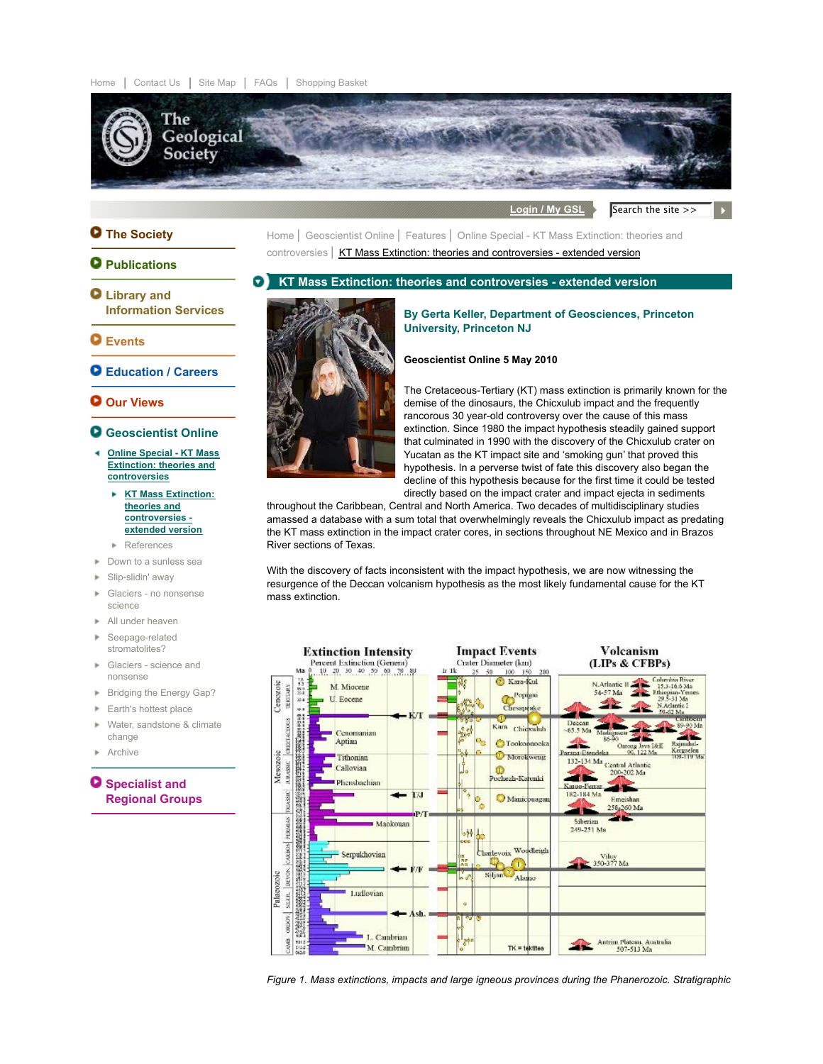

Login / My GSL Search the site >>

 $\mathbf{F}$ 

# **The Society**

## **Q** Publications

- **KT Mass Extinction: theories and controversies extended version** o **Library and**
- **Information Services**

# **Events**

**Education / Careers**

## **Our Views**

- **Geoscientist Online**
- **Online Special KT Mass Extinction: theories and controversies**
	- **KT Mass Extinction:** × **theories and controversies extended version**
	- References
- Down to a sunless sea
- **Slip-slidin' away**
- Glaciers no nonsense science
- All under heaven
- Seepage-related stromatolites?
- Glaciers science and nonsense
- Bridging the Energy Gap?
- **Earth's hottest place**
- Water, sandstone & climate change
- Archive

**O** Specialist and **Regional Groups**



#### **By Gerta Keller, Department of Geosciences, Princeton University, Princeton NJ**

### **Geoscientist Online 5 May 2010**

Home | Geoscientist Online | Features | Online Special - KT Mass Extinction: theories and controversies | KT Mass Extinction: theories and controversies - extended version

> The Cretaceous-Tertiary (KT) mass extinction is primarily known for the demise of the dinosaurs, the Chicxulub impact and the frequently rancorous 30 year-old controversy over the cause of this mass extinction. Since 1980 the impact hypothesis steadily gained support that culminated in 1990 with the discovery of the Chicxulub crater on Yucatan as the KT impact site and 'smoking gun' that proved this hypothesis. In a perverse twist of fate this discovery also began the decline of this hypothesis because for the first time it could be tested directly based on the impact crater and impact ejecta in sediments

throughout the Caribbean, Central and North America. Two decades of multidisciplinary studies amassed a database with a sum total that overwhelmingly reveals the Chicxulub impact as predating the KT mass extinction in the impact crater cores, in sections throughout NE Mexico and in Brazos River sections of Texas.

With the discovery of facts inconsistent with the impact hypothesis, we are now witnessing the resurgence of the Deccan volcanism hypothesis as the most likely fundamental cause for the KT mass extinction.



*Figure 1. Mass extinctions, impacts and large igneous provinces during the Phanerozoic. Stratigraphic*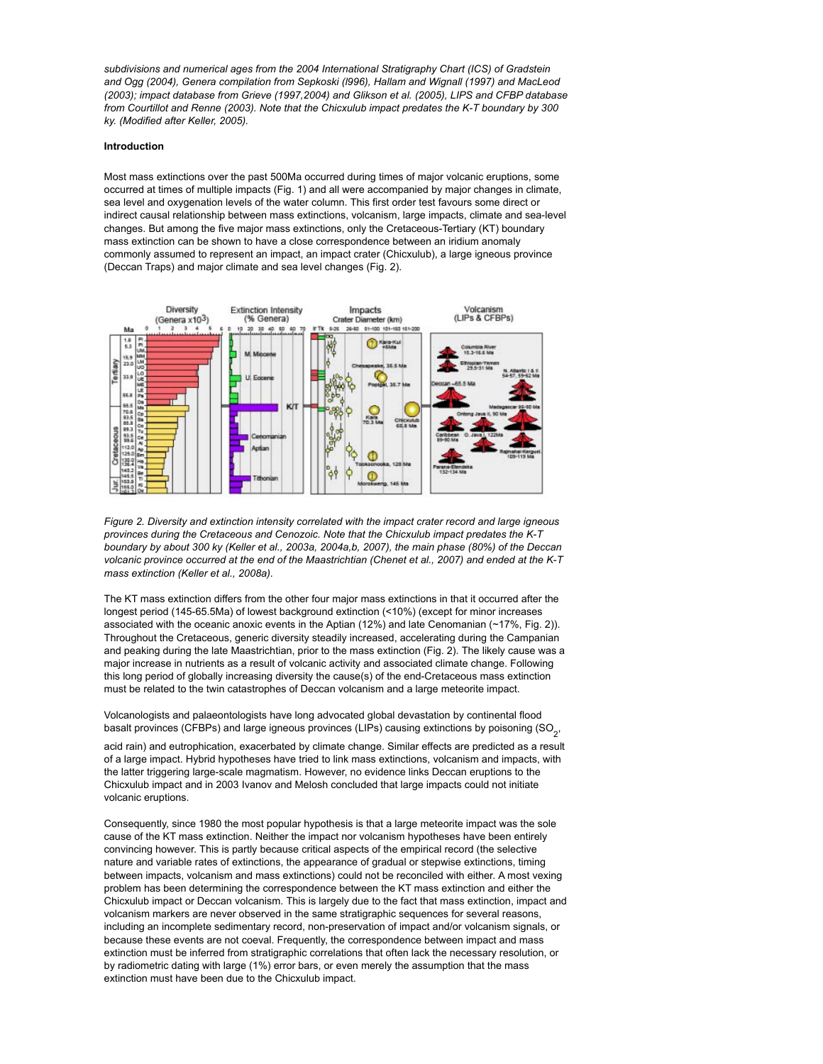*subdivisions and numerical ages from the 2004 International Stratigraphy Chart (ICS) of Gradstein and Ogg (2004), Genera compilation from Sepkoski (l996), Hallam and Wignall (1997) and MacLeod (2003); impact database from Grieve (1997,2004) and Glikson et al. (2005), LIPS and CFBP database from Courtillot and Renne (2003). Note that the Chicxulub impact predates the K-T boundary by 300 ky. (Modified after Keller, 2005).*

#### **Introduction**

Most mass extinctions over the past 500Ma occurred during times of major volcanic eruptions, some occurred at times of multiple impacts (Fig. 1) and all were accompanied by major changes in climate, sea level and oxygenation levels of the water column. This first order test favours some direct or indirect causal relationship between mass extinctions, volcanism, large impacts, climate and sea-level changes. But among the five major mass extinctions, only the Cretaceous-Tertiary (KT) boundary mass extinction can be shown to have a close correspondence between an iridium anomaly commonly assumed to represent an impact, an impact crater (Chicxulub), a large igneous province (Deccan Traps) and major climate and sea level changes (Fig. 2).



*Figure 2. Diversity and extinction intensity correlated with the impact crater record and large igneous provinces during the Cretaceous and Cenozoic. Note that the Chicxulub impact predates the K-T boundary by about 300 ky (Keller et al., 2003a, 2004a,b, 2007), the main phase (80%) of the Deccan volcanic province occurred at the end of the Maastrichtian (Chenet et al., 2007) and ended at the K-T mass extinction (Keller et al., 2008a).*

The KT mass extinction differs from the other four major mass extinctions in that it occurred after the longest period (145-65.5Ma) of lowest background extinction (<10%) (except for minor increases associated with the oceanic anoxic events in the Aptian (12%) and late Cenomanian (~17%, Fig. 2)). Throughout the Cretaceous, generic diversity steadily increased, accelerating during the Campanian and peaking during the late Maastrichtian, prior to the mass extinction (Fig. 2). The likely cause was a major increase in nutrients as a result of volcanic activity and associated climate change. Following this long period of globally increasing diversity the cause(s) of the end-Cretaceous mass extinction must be related to the twin catastrophes of Deccan volcanism and a large meteorite impact.

Volcanologists and palaeontologists have long advocated global devastation by continental flood basalt provinces (CFBPs) and large igneous provinces (LIPs) causing extinctions by poisoning (SO<sub>2</sub>,

acid rain) and eutrophication, exacerbated by climate change. Similar effects are predicted as a result of a large impact. Hybrid hypotheses have tried to link mass extinctions, volcanism and impacts, with the latter triggering large-scale magmatism. However, no evidence links Deccan eruptions to the Chicxulub impact and in 2003 Ivanov and Melosh concluded that large impacts could not initiate volcanic eruptions.

Consequently, since 1980 the most popular hypothesis is that a large meteorite impact was the sole cause of the KT mass extinction. Neither the impact nor volcanism hypotheses have been entirely convincing however. This is partly because critical aspects of the empirical record (the selective nature and variable rates of extinctions, the appearance of gradual or stepwise extinctions, timing between impacts, volcanism and mass extinctions) could not be reconciled with either. A most vexing problem has been determining the correspondence between the KT mass extinction and either the Chicxulub impact or Deccan volcanism. This is largely due to the fact that mass extinction, impact and volcanism markers are never observed in the same stratigraphic sequences for several reasons, including an incomplete sedimentary record, non-preservation of impact and/or volcanism signals, or because these events are not coeval. Frequently, the correspondence between impact and mass extinction must be inferred from stratigraphic correlations that often lack the necessary resolution, or by radiometric dating with large (1%) error bars, or even merely the assumption that the mass extinction must have been due to the Chicxulub impact.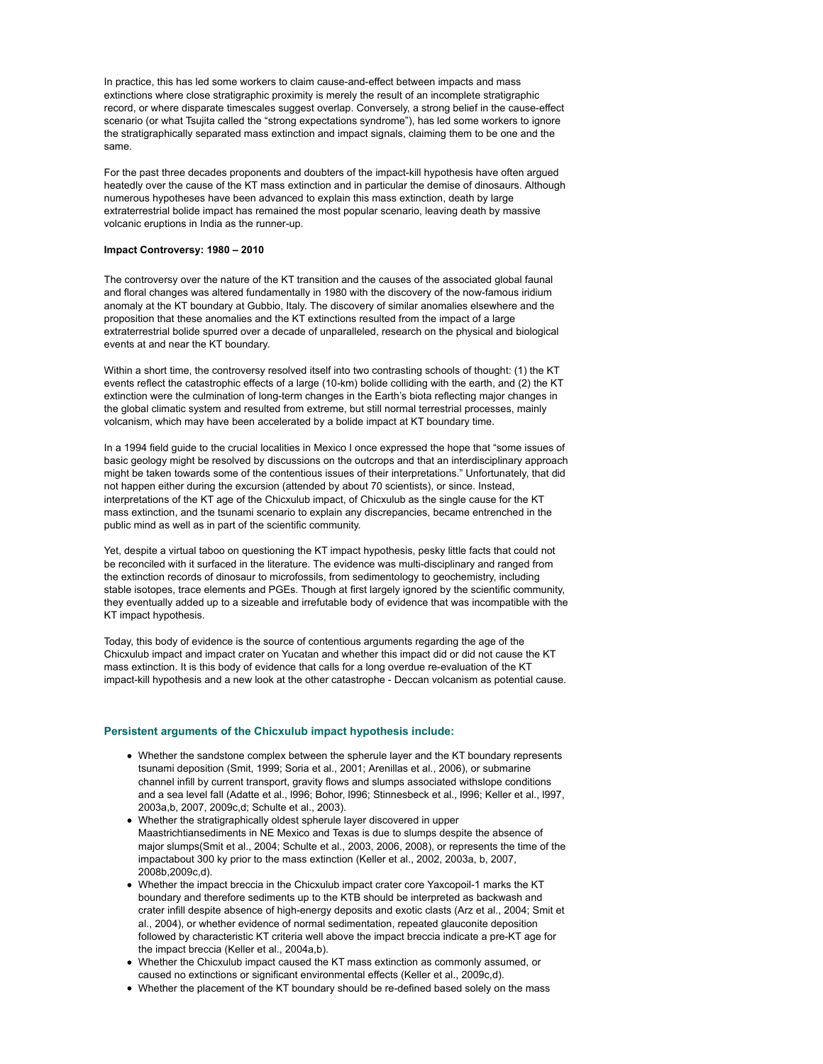In practice, this has led some workers to claim cause-and-effect between impacts and mass extinctions where close stratigraphic proximity is merely the result of an incomplete stratigraphic record, or where disparate timescales suggest overlap. Conversely, a strong belief in the cause-effect scenario (or what Tsujita called the "strong expectations syndrome"), has led some workers to ignore the stratigraphically separated mass extinction and impact signals, claiming them to be one and the same.

For the past three decades proponents and doubters of the impact-kill hypothesis have often argued heatedly over the cause of the KT mass extinction and in particular the demise of dinosaurs. Although numerous hypotheses have been advanced to explain this mass extinction, death by large extraterrestrial bolide impact has remained the most popular scenario, leaving death by massive volcanic eruptions in India as the runner-up.

#### **Impact Controversy: 1980 – 2010**

The controversy over the nature of the KT transition and the causes of the associated global faunal and floral changes was altered fundamentally in 1980 with the discovery of the now-famous iridium anomaly at the KT boundary at Gubbio, Italy. The discovery of similar anomalies elsewhere and the proposition that these anomalies and the KT extinctions resulted from the impact of a large extraterrestrial bolide spurred over a decade of unparalleled, research on the physical and biological events at and near the KT boundary.

Within a short time, the controversy resolved itself into two contrasting schools of thought: (1) the KT events reflect the catastrophic effects of a large (10-km) bolide colliding with the earth, and (2) the KT extinction were the culmination of long-term changes in the Earth's biota reflecting major changes in the global climatic system and resulted from extreme, but still normal terrestrial processes, mainly volcanism, which may have been accelerated by a bolide impact at KT boundary time.

In a 1994 field guide to the crucial localities in Mexico I once expressed the hope that "some issues of basic geology might be resolved by discussions on the outcrops and that an interdisciplinary approach might be taken towards some of the contentious issues of their interpretations." Unfortunately, that did not happen either during the excursion (attended by about 70 scientists), or since. Instead, interpretations of the KT age of the Chicxulub impact, of Chicxulub as the single cause for the KT mass extinction, and the tsunami scenario to explain any discrepancies, became entrenched in the public mind as well as in part of the scientific community.

Yet, despite a virtual taboo on questioning the KT impact hypothesis, pesky little facts that could not be reconciled with it surfaced in the literature. The evidence was multi-disciplinary and ranged from the extinction records of dinosaur to microfossils, from sedimentology to geochemistry, including stable isotopes, trace elements and PGEs. Though at first largely ignored by the scientific community, they eventually added up to a sizeable and irrefutable body of evidence that was incompatible with the KT impact hypothesis.

Today, this body of evidence is the source of contentious arguments regarding the age of the Chicxulub impact and impact crater on Yucatan and whether this impact did or did not cause the KT mass extinction. It is this body of evidence that calls for a long overdue re-evaluation of the KT impact-kill hypothesis and a new look at the other catastrophe - Deccan volcanism as potential cause.

## **Persistent arguments of the Chicxulub impact hypothesis include:**

- Whether the sandstone complex between the spherule layer and the KT boundary represents tsunami deposition (Smit, 1999; Soria et al., 2001; Arenillas et al., 2006), or submarine channel infill by current transport, gravity flows and slumps associated withslope conditions and a sea level fall (Adatte et al., l996; Bohor, l996; Stinnesbeck et al., l996; Keller et al., l997, 2003a,b, 2007, 2009c,d; Schulte et al., 2003).
- Whether the stratigraphically oldest spherule layer discovered in upper Maastrichtiansediments in NE Mexico and Texas is due to slumps despite the absence of major slumps(Smit et al., 2004; Schulte et al., 2003, 2006, 2008), or represents the time of the impactabout 300 ky prior to the mass extinction (Keller et al., 2002, 2003a, b, 2007, 2008b,2009c,d).
- Whether the impact breccia in the Chicxulub impact crater core Yaxcopoil-1 marks the KT boundary and therefore sediments up to the KTB should be interpreted as backwash and crater infill despite absence of high-energy deposits and exotic clasts (Arz et al., 2004; Smit et al., 2004), or whether evidence of normal sedimentation, repeated glauconite deposition followed by characteristic KT criteria well above the impact breccia indicate a pre-KT age for the impact breccia (Keller et al., 2004a,b).
- Whether the Chicxulub impact caused the KT mass extinction as commonly assumed, or caused no extinctions or significant environmental effects (Keller et al., 2009c,d).
- Whether the placement of the KT boundary should be re-defined based solely on the mass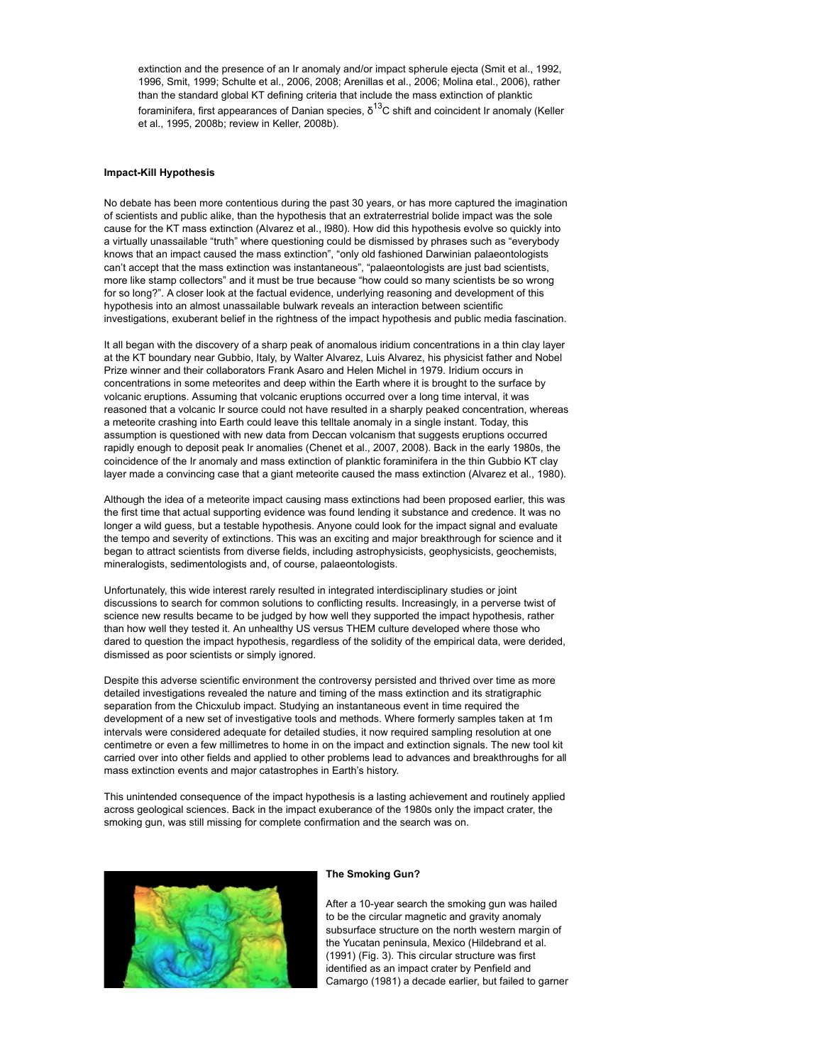extinction and the presence of an Ir anomaly and/or impact spherule ejecta (Smit et al., 1992, 1996, Smit, 1999; Schulte et al., 2006, 2008; Arenillas et al., 2006; Molina etal., 2006), rather than the standard global KT defining criteria that include the mass extinction of planktic foraminifera, first appearances of Danian species,  $\delta^{13}$ C shift and coincident Ir anomaly (Keller et al., 1995, 2008b; review in Keller, 2008b).

#### **Impact-Kill Hypothesis**

No debate has been more contentious during the past 30 years, or has more captured the imagination of scientists and public alike, than the hypothesis that an extraterrestrial bolide impact was the sole cause for the KT mass extinction (Alvarez et al., l980). How did this hypothesis evolve so quickly into a virtually unassailable "truth" where questioning could be dismissed by phrases such as "everybody knows that an impact caused the mass extinction", "only old fashioned Darwinian palaeontologists can't accept that the mass extinction was instantaneous", "palaeontologists are just bad scientists, more like stamp collectors" and it must be true because "how could so many scientists be so wrong for so long?". A closer look at the factual evidence, underlying reasoning and development of this hypothesis into an almost unassailable bulwark reveals an interaction between scientific investigations, exuberant belief in the rightness of the impact hypothesis and public media fascination.

It all began with the discovery of a sharp peak of anomalous iridium concentrations in a thin clay layer at the KT boundary near Gubbio, Italy, by Walter Alvarez, Luis Alvarez, his physicist father and Nobel Prize winner and their collaborators Frank Asaro and Helen Michel in 1979. Iridium occurs in concentrations in some meteorites and deep within the Earth where it is brought to the surface by volcanic eruptions. Assuming that volcanic eruptions occurred over a long time interval, it was reasoned that a volcanic Ir source could not have resulted in a sharply peaked concentration, whereas a meteorite crashing into Earth could leave this telltale anomaly in a single instant. Today, this assumption is questioned with new data from Deccan volcanism that suggests eruptions occurred rapidly enough to deposit peak Ir anomalies (Chenet et al., 2007, 2008). Back in the early 1980s, the coincidence of the Ir anomaly and mass extinction of planktic foraminifera in the thin Gubbio KT clay layer made a convincing case that a giant meteorite caused the mass extinction (Alvarez et al., 1980).

Although the idea of a meteorite impact causing mass extinctions had been proposed earlier, this was the first time that actual supporting evidence was found lending it substance and credence. It was no longer a wild guess, but a testable hypothesis. Anyone could look for the impact signal and evaluate the tempo and severity of extinctions. This was an exciting and major breakthrough for science and it began to attract scientists from diverse fields, including astrophysicists, geophysicists, geochemists, mineralogists, sedimentologists and, of course, palaeontologists.

Unfortunately, this wide interest rarely resulted in integrated interdisciplinary studies or joint discussions to search for common solutions to conflicting results. Increasingly, in a perverse twist of science new results became to be judged by how well they supported the impact hypothesis, rather than how well they tested it. An unhealthy US versus THEM culture developed where those who dared to question the impact hypothesis, regardless of the solidity of the empirical data, were derided, dismissed as poor scientists or simply ignored.

Despite this adverse scientific environment the controversy persisted and thrived over time as more detailed investigations revealed the nature and timing of the mass extinction and its stratigraphic separation from the Chicxulub impact. Studying an instantaneous event in time required the development of a new set of investigative tools and methods. Where formerly samples taken at 1m intervals were considered adequate for detailed studies, it now required sampling resolution at one centimetre or even a few millimetres to home in on the impact and extinction signals. The new tool kit carried over into other fields and applied to other problems lead to advances and breakthroughs for all mass extinction events and major catastrophes in Earth's history.

This unintended consequence of the impact hypothesis is a lasting achievement and routinely applied across geological sciences. Back in the impact exuberance of the 1980s only the impact crater, the smoking gun, was still missing for complete confirmation and the search was on.



### **The Smoking Gun?**

After a 10-year search the smoking gun was hailed to be the circular magnetic and gravity anomaly subsurface structure on the north western margin of the Yucatan peninsula, Mexico (Hildebrand et al. (1991) (Fig. 3). This circular structure was first identified as an impact crater by Penfield and Camargo (1981) a decade earlier, but failed to garner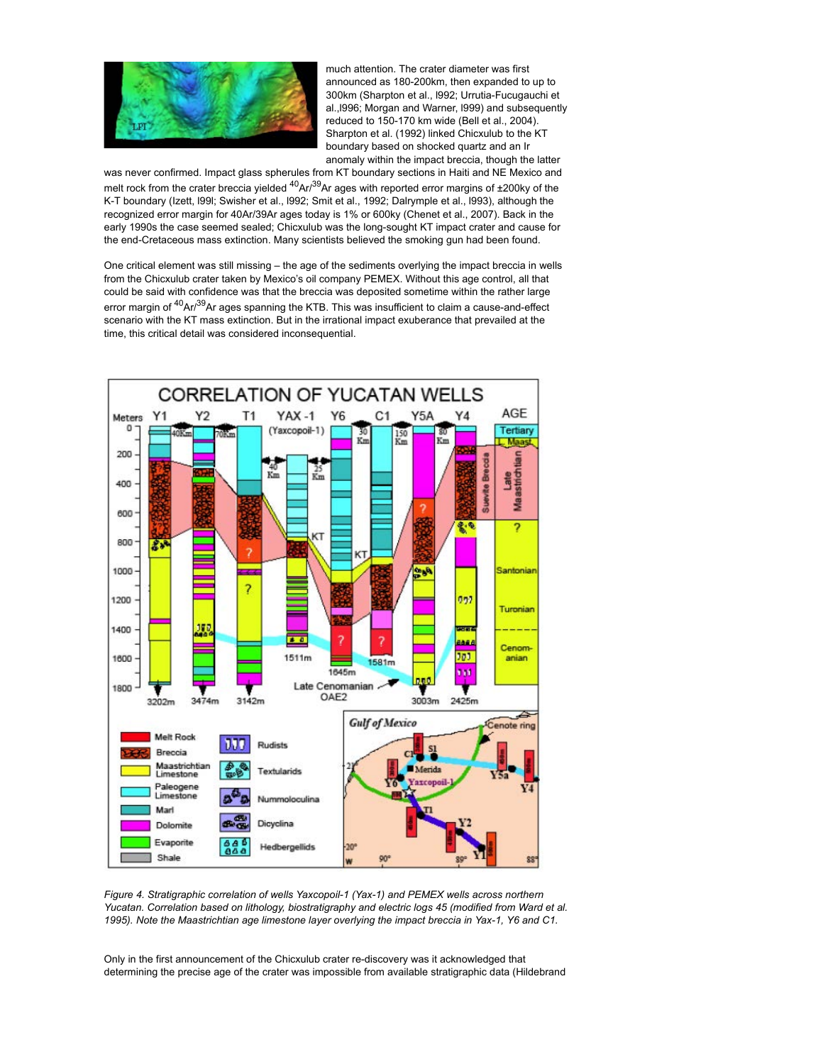

much attention. The crater diameter was first announced as 180-200km, then expanded to up to 300km (Sharpton et al., l992; Urrutia-Fucugauchi et al.,l996; Morgan and Warner, l999) and subsequently reduced to 150-170 km wide (Bell et al., 2004). Sharpton et al. (1992) linked Chicxulub to the KT boundary based on shocked quartz and an Ir anomaly within the impact breccia, though the latter

was never confirmed. Impact glass spherules from KT boundary sections in Haiti and NE Mexico and melt rock from the crater breccia yielded  $^{40}$ Ar/ $^{39}$ Ar ages with reported error margins of  $\pm 200$ ky of the K-T boundary (Izett, l99l; Swisher et al., l992; Smit et al., 1992; Dalrymple et al., l993), although the recognized error margin for 40Ar/39Ar ages today is 1% or 600ky (Chenet et al., 2007). Back in the early 1990s the case seemed sealed; Chicxulub was the long-sought KT impact crater and cause for the end-Cretaceous mass extinction. Many scientists believed the smoking gun had been found.

One critical element was still missing – the age of the sediments overlying the impact breccia in wells from the Chicxulub crater taken by Mexico's oil company PEMEX. Without this age control, all that could be said with confidence was that the breccia was deposited sometime within the rather large error margin of  ${}^{40}$ Ar ${}^{39}$ Ar ages spanning the KTB. This was insufficient to claim a cause-and-effect scenario with the KT mass extinction. But in the irrational impact exuberance that prevailed at the time, this critical detail was considered inconsequential.



*Figure 4. Stratigraphic correlation of wells Yaxcopoil-1 (Yax-1) and PEMEX wells across northern Yucatan. Correlation based on lithology, biostratigraphy and electric logs 45 (modified from Ward et al. 1995). Note the Maastrichtian age limestone layer overlying the impact breccia in Yax-1, Y6 and C1.*

Only in the first announcement of the Chicxulub crater re-discovery was it acknowledged that determining the precise age of the crater was impossible from available stratigraphic data (Hildebrand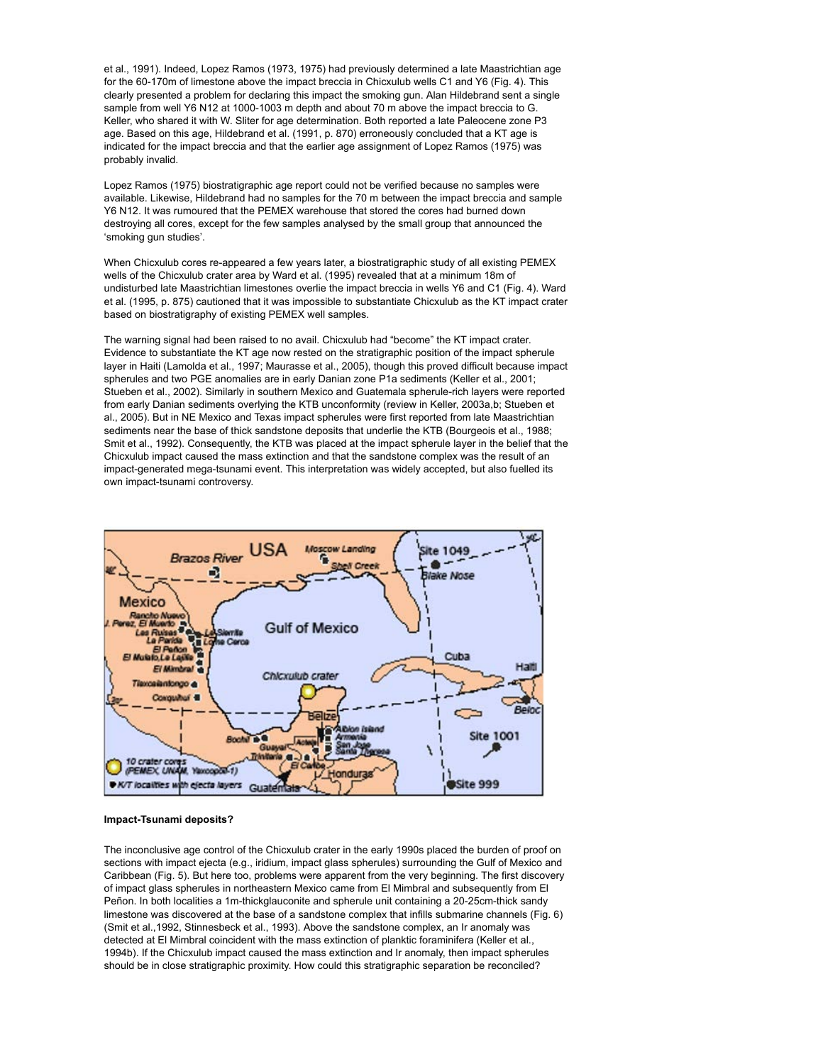et al., 1991). Indeed, Lopez Ramos (1973, 1975) had previously determined a late Maastrichtian age for the 60-170m of limestone above the impact breccia in Chicxulub wells C1 and Y6 (Fig. 4). This clearly presented a problem for declaring this impact the smoking gun. Alan Hildebrand sent a single sample from well Y6 N12 at 1000-1003 m depth and about 70 m above the impact breccia to G. Keller, who shared it with W. Sliter for age determination. Both reported a late Paleocene zone P3 age. Based on this age, Hildebrand et al. (1991, p. 870) erroneously concluded that a KT age is indicated for the impact breccia and that the earlier age assignment of Lopez Ramos (1975) was probably invalid.

Lopez Ramos (1975) biostratigraphic age report could not be verified because no samples were available. Likewise, Hildebrand had no samples for the 70 m between the impact breccia and sample Y6 N12. It was rumoured that the PEMEX warehouse that stored the cores had burned down destroying all cores, except for the few samples analysed by the small group that announced the 'smoking gun studies'.

When Chicxulub cores re-appeared a few years later, a biostratigraphic study of all existing PEMEX wells of the Chicxulub crater area by Ward et al. (1995) revealed that at a minimum 18m of undisturbed late Maastrichtian limestones overlie the impact breccia in wells Y6 and C1 (Fig. 4). Ward et al. (1995, p. 875) cautioned that it was impossible to substantiate Chicxulub as the KT impact crater based on biostratigraphy of existing PEMEX well samples.

The warning signal had been raised to no avail. Chicxulub had "become" the KT impact crater. Evidence to substantiate the KT age now rested on the stratigraphic position of the impact spherule layer in Haiti (Lamolda et al., 1997; Maurasse et al., 2005), though this proved difficult because impact spherules and two PGE anomalies are in early Danian zone P1a sediments (Keller et al., 2001; Stueben et al., 2002). Similarly in southern Mexico and Guatemala spherule-rich layers were reported from early Danian sediments overlying the KTB unconformity (review in Keller, 2003a,b; Stueben et al., 2005). But in NE Mexico and Texas impact spherules were first reported from late Maastrichtian sediments near the base of thick sandstone deposits that underlie the KTB (Bourgeois et al., 1988; Smit et al., 1992). Consequently, the KTB was placed at the impact spherule layer in the belief that the Chicxulub impact caused the mass extinction and that the sandstone complex was the result of an impact-generated mega-tsunami event. This interpretation was widely accepted, but also fuelled its own impact-tsunami controversy.



#### **Impact-Tsunami deposits?**

The inconclusive age control of the Chicxulub crater in the early 1990s placed the burden of proof on sections with impact ejecta (e.g., iridium, impact glass spherules) surrounding the Gulf of Mexico and Caribbean (Fig. 5). But here too, problems were apparent from the very beginning. The first discovery of impact glass spherules in northeastern Mexico came from El Mimbral and subsequently from El Peñon. In both localities a 1m-thickglauconite and spherule unit containing a 20-25cm-thick sandy limestone was discovered at the base of a sandstone complex that infills submarine channels (Fig. 6) (Smit et al.,1992, Stinnesbeck et al., 1993). Above the sandstone complex, an Ir anomaly was detected at El Mimbral coincident with the mass extinction of planktic foraminifera (Keller et al., 1994b). If the Chicxulub impact caused the mass extinction and Ir anomaly, then impact spherules should be in close stratigraphic proximity. How could this stratigraphic separation be reconciled?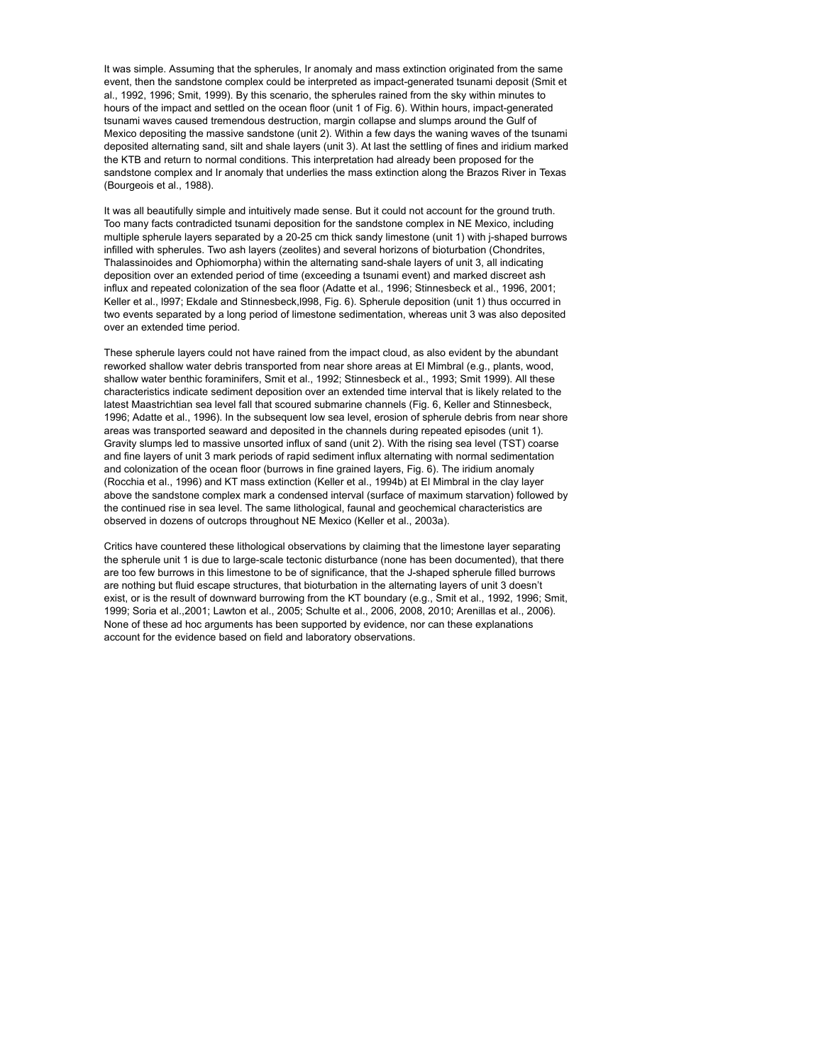It was simple. Assuming that the spherules, Ir anomaly and mass extinction originated from the same event, then the sandstone complex could be interpreted as impact-generated tsunami deposit (Smit et al., 1992, 1996; Smit, 1999). By this scenario, the spherules rained from the sky within minutes to hours of the impact and settled on the ocean floor (unit 1 of Fig. 6). Within hours, impact-generated tsunami waves caused tremendous destruction, margin collapse and slumps around the Gulf of Mexico depositing the massive sandstone (unit 2). Within a few days the waning waves of the tsunami deposited alternating sand, silt and shale layers (unit 3). At last the settling of fines and iridium marked the KTB and return to normal conditions. This interpretation had already been proposed for the sandstone complex and Ir anomaly that underlies the mass extinction along the Brazos River in Texas (Bourgeois et al., 1988).

It was all beautifully simple and intuitively made sense. But it could not account for the ground truth. Too many facts contradicted tsunami deposition for the sandstone complex in NE Mexico, including multiple spherule layers separated by a 20-25 cm thick sandy limestone (unit 1) with j-shaped burrows infilled with spherules. Two ash layers (zeolites) and several horizons of bioturbation (Chondrites, Thalassinoides and Ophiomorpha) within the alternating sand-shale layers of unit 3, all indicating deposition over an extended period of time (exceeding a tsunami event) and marked discreet ash influx and repeated colonization of the sea floor (Adatte et al., 1996; Stinnesbeck et al., 1996, 2001; Keller et al., l997; Ekdale and Stinnesbeck,l998, Fig. 6). Spherule deposition (unit 1) thus occurred in two events separated by a long period of limestone sedimentation, whereas unit 3 was also deposited over an extended time period.

These spherule layers could not have rained from the impact cloud, as also evident by the abundant reworked shallow water debris transported from near shore areas at El Mimbral (e.g., plants, wood, shallow water benthic foraminifers, Smit et al., 1992; Stinnesbeck et al., 1993; Smit 1999). All these characteristics indicate sediment deposition over an extended time interval that is likely related to the latest Maastrichtian sea level fall that scoured submarine channels (Fig. 6, Keller and Stinnesbeck, 1996; Adatte et al., 1996). In the subsequent low sea level, erosion of spherule debris from near shore areas was transported seaward and deposited in the channels during repeated episodes (unit 1). Gravity slumps led to massive unsorted influx of sand (unit 2). With the rising sea level (TST) coarse and fine layers of unit 3 mark periods of rapid sediment influx alternating with normal sedimentation and colonization of the ocean floor (burrows in fine grained layers, Fig. 6). The iridium anomaly (Rocchia et al., 1996) and KT mass extinction (Keller et al., 1994b) at El Mimbral in the clay layer above the sandstone complex mark a condensed interval (surface of maximum starvation) followed by the continued rise in sea level. The same lithological, faunal and geochemical characteristics are observed in dozens of outcrops throughout NE Mexico (Keller et al., 2003a).

Critics have countered these lithological observations by claiming that the limestone layer separating the spherule unit 1 is due to large-scale tectonic disturbance (none has been documented), that there are too few burrows in this limestone to be of significance, that the J-shaped spherule filled burrows are nothing but fluid escape structures, that bioturbation in the alternating layers of unit 3 doesn't exist, or is the result of downward burrowing from the KT boundary (e.g., Smit et al., 1992, 1996; Smit, 1999; Soria et al.,2001; Lawton et al., 2005; Schulte et al., 2006, 2008, 2010; Arenillas et al., 2006). None of these ad hoc arguments has been supported by evidence, nor can these explanations account for the evidence based on field and laboratory observations.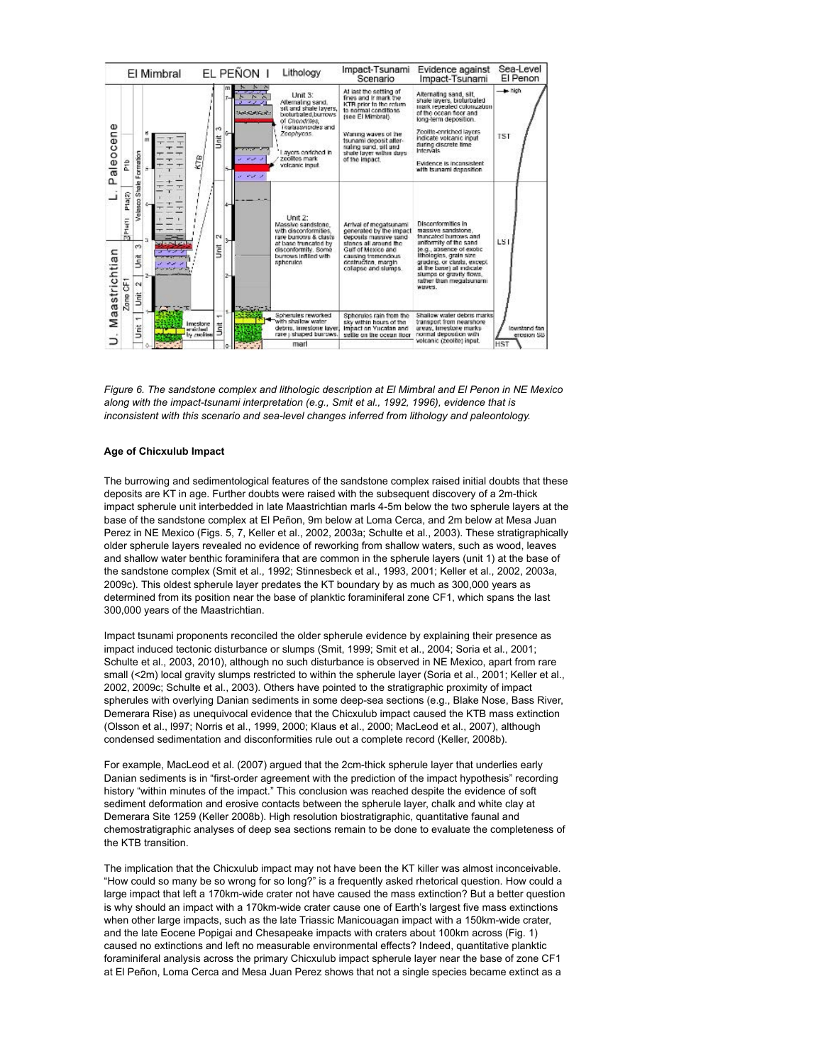

*Figure 6. The sandstone complex and lithologic description at El Mimbral and El Penon in NE Mexico along with the impact-tsunami interpretation (e.g., Smit et al., 1992, 1996), evidence that is inconsistent with this scenario and sea-level changes inferred from lithology and paleontology.*

#### **Age of Chicxulub Impact**

The burrowing and sedimentological features of the sandstone complex raised initial doubts that these deposits are KT in age. Further doubts were raised with the subsequent discovery of a 2m-thick impact spherule unit interbedded in late Maastrichtian marls 4-5m below the two spherule layers at the base of the sandstone complex at El Peñon, 9m below at Loma Cerca, and 2m below at Mesa Juan Perez in NE Mexico (Figs. 5, 7, Keller et al., 2002, 2003a; Schulte et al., 2003). These stratigraphically older spherule layers revealed no evidence of reworking from shallow waters, such as wood, leaves and shallow water benthic foraminifera that are common in the spherule layers (unit 1) at the base of the sandstone complex (Smit et al., 1992; Stinnesbeck et al., 1993, 2001; Keller et al., 2002, 2003a, 2009c). This oldest spherule layer predates the KT boundary by as much as 300,000 years as determined from its position near the base of planktic foraminiferal zone CF1, which spans the last 300,000 years of the Maastrichtian.

Impact tsunami proponents reconciled the older spherule evidence by explaining their presence as impact induced tectonic disturbance or slumps (Smit, 1999; Smit et al., 2004; Soria et al., 2001; Schulte et al., 2003, 2010), although no such disturbance is observed in NE Mexico, apart from rare small (<2m) local gravity slumps restricted to within the spherule layer (Soria et al., 2001; Keller et al., 2002, 2009c; Schulte et al., 2003). Others have pointed to the stratigraphic proximity of impact spherules with overlying Danian sediments in some deep-sea sections (e.g., Blake Nose, Bass River, Demerara Rise) as unequivocal evidence that the Chicxulub impact caused the KTB mass extinction (Olsson et al., l997; Norris et al., 1999, 2000; Klaus et al., 2000; MacLeod et al., 2007), although condensed sedimentation and disconformities rule out a complete record (Keller, 2008b).

For example, MacLeod et al. (2007) argued that the 2cm-thick spherule layer that underlies early Danian sediments is in "first-order agreement with the prediction of the impact hypothesis" recording history "within minutes of the impact." This conclusion was reached despite the evidence of soft sediment deformation and erosive contacts between the spherule layer, chalk and white clay at Demerara Site 1259 (Keller 2008b). High resolution biostratigraphic, quantitative faunal and chemostratigraphic analyses of deep sea sections remain to be done to evaluate the completeness of the KTB transition.

The implication that the Chicxulub impact may not have been the KT killer was almost inconceivable. "How could so many be so wrong for so long?" is a frequently asked rhetorical question. How could a large impact that left a 170km-wide crater not have caused the mass extinction? But a better question is why should an impact with a 170km-wide crater cause one of Earth's largest five mass extinctions when other large impacts, such as the late Triassic Manicouagan impact with a 150km-wide crater, and the late Eocene Popigai and Chesapeake impacts with craters about 100km across (Fig. 1) caused no extinctions and left no measurable environmental effects? Indeed, quantitative planktic foraminiferal analysis across the primary Chicxulub impact spherule layer near the base of zone CF1 at El Peñon, Loma Cerca and Mesa Juan Perez shows that not a single species became extinct as a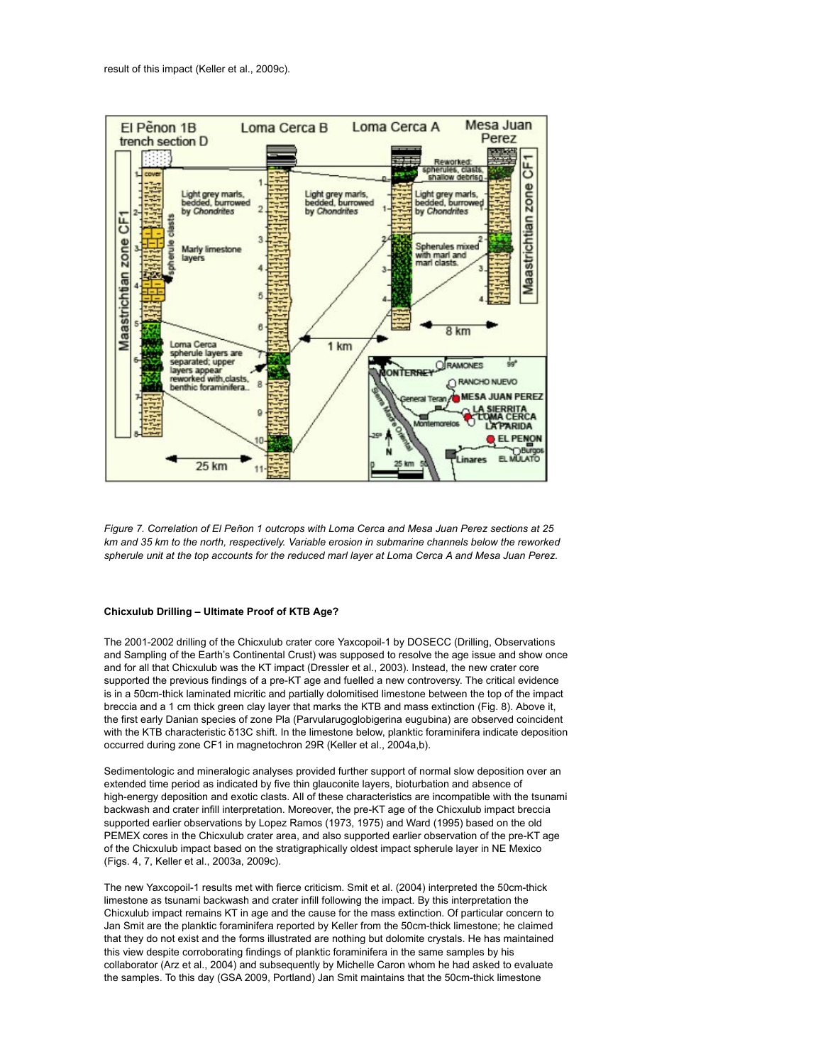

*Figure 7. Correlation of El Peñon 1 outcrops with Loma Cerca and Mesa Juan Perez sections at 25 km and 35 km to the north, respectively. Variable erosion in submarine channels below the reworked spherule unit at the top accounts for the reduced marl layer at Loma Cerca A and Mesa Juan Perez.*

# **Chicxulub Drilling – Ultimate Proof of KTB Age?**

The 2001-2002 drilling of the Chicxulub crater core Yaxcopoil-1 by DOSECC (Drilling, Observations and Sampling of the Earth's Continental Crust) was supposed to resolve the age issue and show once and for all that Chicxulub was the KT impact (Dressler et al., 2003). Instead, the new crater core supported the previous findings of a pre-KT age and fuelled a new controversy. The critical evidence is in a 50cm-thick laminated micritic and partially dolomitised limestone between the top of the impact breccia and a 1 cm thick green clay layer that marks the KTB and mass extinction (Fig. 8). Above it, the first early Danian species of zone Pla (Parvularugoglobigerina eugubina) are observed coincident with the KTB characteristic δ13C shift. In the limestone below, planktic foraminifera indicate deposition occurred during zone CF1 in magnetochron 29R (Keller et al., 2004a,b).

Sedimentologic and mineralogic analyses provided further support of normal slow deposition over an extended time period as indicated by five thin glauconite layers, bioturbation and absence of high-energy deposition and exotic clasts. All of these characteristics are incompatible with the tsunami backwash and crater infill interpretation. Moreover, the pre-KT age of the Chicxulub impact breccia supported earlier observations by Lopez Ramos (1973, 1975) and Ward (1995) based on the old PEMEX cores in the Chicxulub crater area, and also supported earlier observation of the pre-KT age of the Chicxulub impact based on the stratigraphically oldest impact spherule layer in NE Mexico (Figs. 4, 7, Keller et al., 2003a, 2009c).

The new Yaxcopoil-1 results met with fierce criticism. Smit et al. (2004) interpreted the 50cm-thick limestone as tsunami backwash and crater infill following the impact. By this interpretation the Chicxulub impact remains KT in age and the cause for the mass extinction. Of particular concern to Jan Smit are the planktic foraminifera reported by Keller from the 50cm-thick limestone; he claimed that they do not exist and the forms illustrated are nothing but dolomite crystals. He has maintained this view despite corroborating findings of planktic foraminifera in the same samples by his collaborator (Arz et al., 2004) and subsequently by Michelle Caron whom he had asked to evaluate the samples. To this day (GSA 2009, Portland) Jan Smit maintains that the 50cm-thick limestone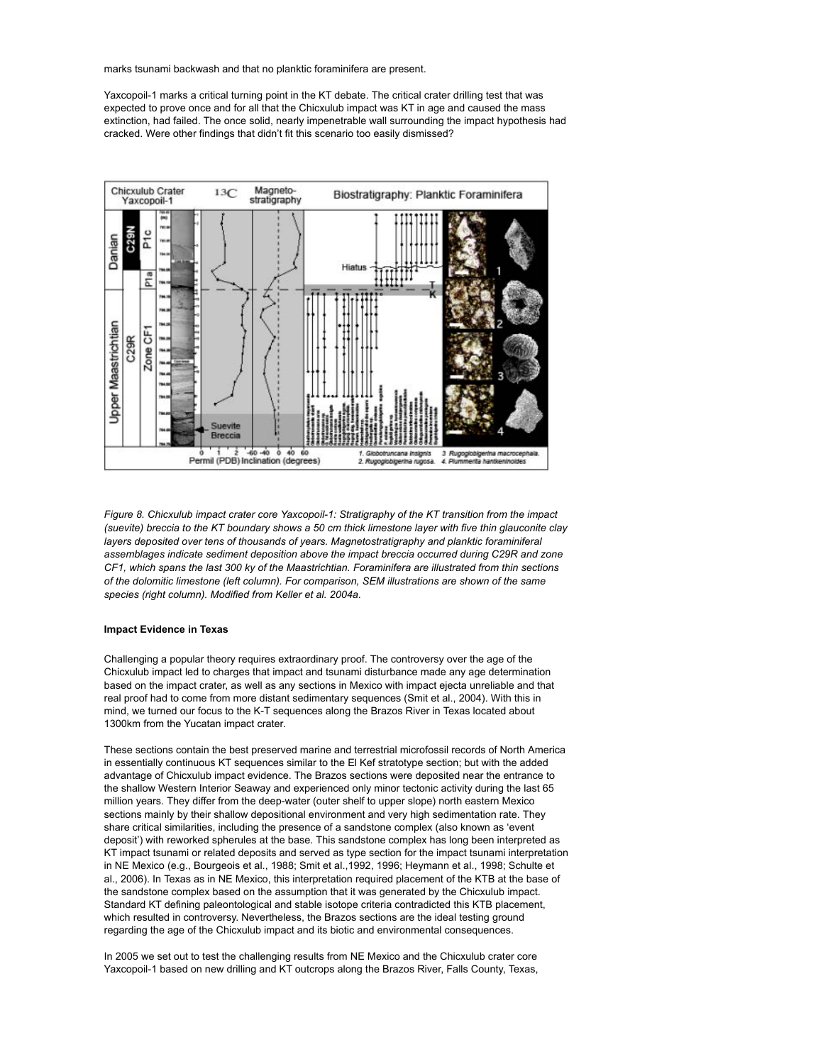marks tsunami backwash and that no planktic foraminifera are present.

Yaxcopoil-1 marks a critical turning point in the KT debate. The critical crater drilling test that was expected to prove once and for all that the Chicxulub impact was KT in age and caused the mass extinction, had failed. The once solid, nearly impenetrable wall surrounding the impact hypothesis had cracked. Were other findings that didn't fit this scenario too easily dismissed?



*Figure 8. Chicxulub impact crater core Yaxcopoil-1: Stratigraphy of the KT transition from the impact (suevite) breccia to the KT boundary shows a 50 cm thick limestone layer with five thin glauconite clay layers deposited over tens of thousands of years. Magnetostratigraphy and planktic foraminiferal assemblages indicate sediment deposition above the impact breccia occurred during C29R and zone CF1, which spans the last 300 ky of the Maastrichtian. Foraminifera are illustrated from thin sections of the dolomitic limestone (left column). For comparison, SEM illustrations are shown of the same species (right column). Modified from Keller et al. 2004a.*

#### **Impact Evidence in Texas**

Challenging a popular theory requires extraordinary proof. The controversy over the age of the Chicxulub impact led to charges that impact and tsunami disturbance made any age determination based on the impact crater, as well as any sections in Mexico with impact ejecta unreliable and that real proof had to come from more distant sedimentary sequences (Smit et al., 2004). With this in mind, we turned our focus to the K-T sequences along the Brazos River in Texas located about 1300km from the Yucatan impact crater.

These sections contain the best preserved marine and terrestrial microfossil records of North America in essentially continuous KT sequences similar to the El Kef stratotype section; but with the added advantage of Chicxulub impact evidence. The Brazos sections were deposited near the entrance to the shallow Western Interior Seaway and experienced only minor tectonic activity during the last 65 million years. They differ from the deep-water (outer shelf to upper slope) north eastern Mexico sections mainly by their shallow depositional environment and very high sedimentation rate. They share critical similarities, including the presence of a sandstone complex (also known as 'event deposit') with reworked spherules at the base. This sandstone complex has long been interpreted as KT impact tsunami or related deposits and served as type section for the impact tsunami interpretation in NE Mexico (e.g., Bourgeois et al., 1988; Smit et al.,1992, 1996; Heymann et al., 1998; Schulte et al., 2006). In Texas as in NE Mexico, this interpretation required placement of the KTB at the base of the sandstone complex based on the assumption that it was generated by the Chicxulub impact. Standard KT defining paleontological and stable isotope criteria contradicted this KTB placement, which resulted in controversy. Nevertheless, the Brazos sections are the ideal testing ground regarding the age of the Chicxulub impact and its biotic and environmental consequences.

In 2005 we set out to test the challenging results from NE Mexico and the Chicxulub crater core Yaxcopoil-1 based on new drilling and KT outcrops along the Brazos River, Falls County, Texas,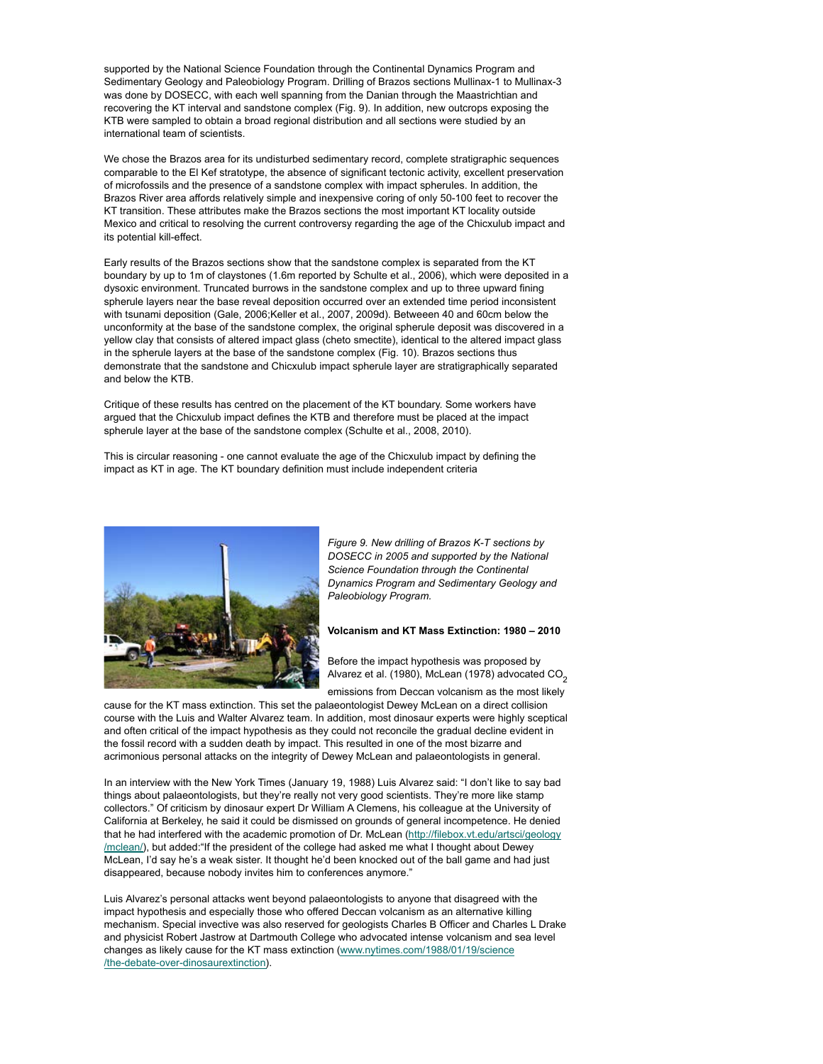supported by the National Science Foundation through the Continental Dynamics Program and Sedimentary Geology and Paleobiology Program. Drilling of Brazos sections Mullinax-1 to Mullinax-3 was done by DOSECC, with each well spanning from the Danian through the Maastrichtian and recovering the KT interval and sandstone complex (Fig. 9). In addition, new outcrops exposing the KTB were sampled to obtain a broad regional distribution and all sections were studied by an international team of scientists.

We chose the Brazos area for its undisturbed sedimentary record, complete stratigraphic sequences comparable to the El Kef stratotype, the absence of significant tectonic activity, excellent preservation of microfossils and the presence of a sandstone complex with impact spherules. In addition, the Brazos River area affords relatively simple and inexpensive coring of only 50-100 feet to recover the KT transition. These attributes make the Brazos sections the most important KT locality outside Mexico and critical to resolving the current controversy regarding the age of the Chicxulub impact and its potential kill-effect.

Early results of the Brazos sections show that the sandstone complex is separated from the KT boundary by up to 1m of claystones (1.6m reported by Schulte et al., 2006), which were deposited in a dysoxic environment. Truncated burrows in the sandstone complex and up to three upward fining spherule layers near the base reveal deposition occurred over an extended time period inconsistent with tsunami deposition (Gale, 2006;Keller et al., 2007, 2009d). Betweeen 40 and 60cm below the unconformity at the base of the sandstone complex, the original spherule deposit was discovered in a yellow clay that consists of altered impact glass (cheto smectite), identical to the altered impact glass in the spherule layers at the base of the sandstone complex (Fig. 10). Brazos sections thus demonstrate that the sandstone and Chicxulub impact spherule layer are stratigraphically separated and below the KTB.

Critique of these results has centred on the placement of the KT boundary. Some workers have argued that the Chicxulub impact defines the KTB and therefore must be placed at the impact spherule layer at the base of the sandstone complex (Schulte et al., 2008, 2010).

This is circular reasoning - one cannot evaluate the age of the Chicxulub impact by defining the impact as KT in age. The KT boundary definition must include independent criteria



*Figure 9. New drilling of Brazos K-T sections by DOSECC in 2005 and supported by the National Science Foundation through the Continental Dynamics Program and Sedimentary Geology and Paleobiology Program.*

#### **Volcanism and KT Mass Extinction: 1980 – 2010**

Before the impact hypothesis was proposed by Alvarez et al. (1980), McLean (1978) advocated CO<sub>2</sub>

emissions from Deccan volcanism as the most likely cause for the KT mass extinction. This set the palaeontologist Dewey McLean on a direct collision course with the Luis and Walter Alvarez team. In addition, most dinosaur experts were highly sceptical and often critical of the impact hypothesis as they could not reconcile the gradual decline evident in the fossil record with a sudden death by impact. This resulted in one of the most bizarre and acrimonious personal attacks on the integrity of Dewey McLean and palaeontologists in general.

In an interview with the New York Times (January 19, 1988) Luis Alvarez said: "I don't like to say bad things about palaeontologists, but they're really not very good scientists. They're more like stamp collectors." Of criticism by dinosaur expert Dr William A Clemens, his colleague at the University of California at Berkeley, he said it could be dismissed on grounds of general incompetence. He denied that he had interfered with the academic promotion of Dr. McLean (http://filebox.vt.edu/artsci/geology /mclean/), but added:"If the president of the college had asked me what I thought about Dewey McLean, I'd say he's a weak sister. It thought he'd been knocked out of the ball game and had just disappeared, because nobody invites him to conferences anymore."

Luis Alvarez's personal attacks went beyond palaeontologists to anyone that disagreed with the impact hypothesis and especially those who offered Deccan volcanism as an alternative killing mechanism. Special invective was also reserved for geologists Charles B Officer and Charles L Drake and physicist Robert Jastrow at Dartmouth College who advocated intense volcanism and sea level changes as likely cause for the KT mass extinction (www.nytimes.com/1988/01/19/science /the-debate-over-dinosaurextinction).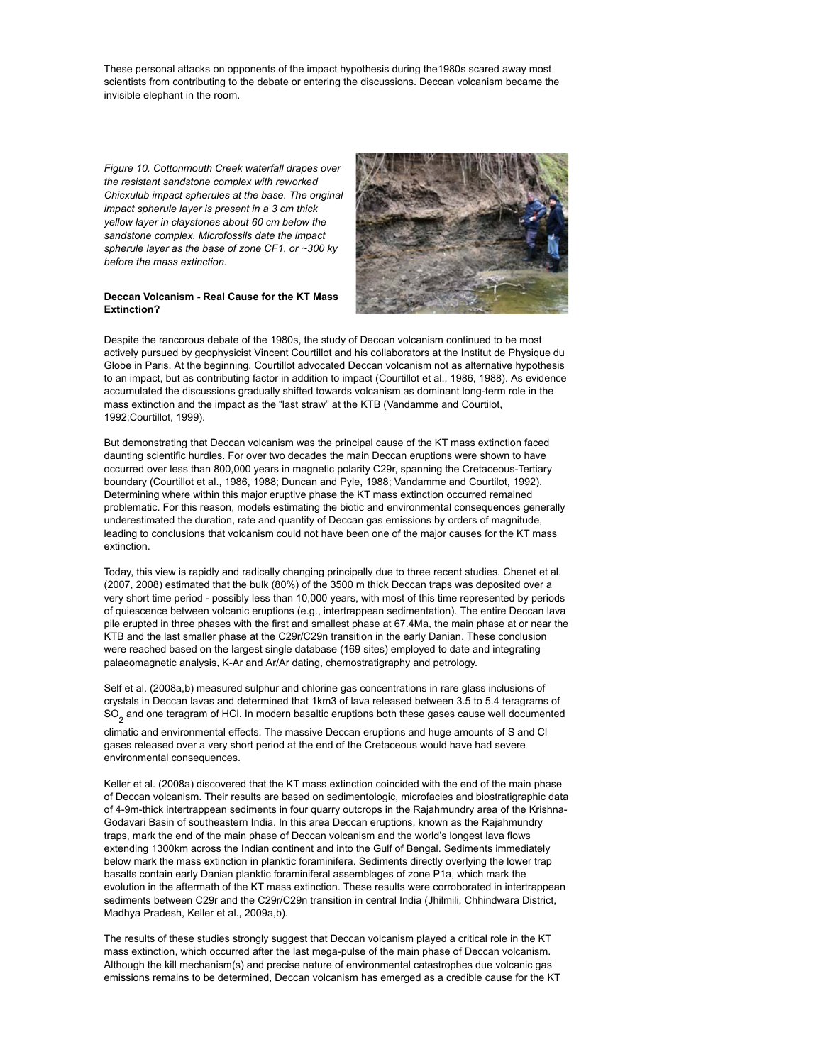These personal attacks on opponents of the impact hypothesis during the1980s scared away most scientists from contributing to the debate or entering the discussions. Deccan volcanism became the invisible elephant in the room.

*Figure 10. Cottonmouth Creek waterfall drapes over the resistant sandstone complex with reworked Chicxulub impact spherules at the base. The original impact spherule layer is present in a 3 cm thick yellow layer in claystones about 60 cm below the sandstone complex. Microfossils date the impact spherule layer as the base of zone CF1, or ~300 ky before the mass extinction.*





Despite the rancorous debate of the 1980s, the study of Deccan volcanism continued to be most actively pursued by geophysicist Vincent Courtillot and his collaborators at the Institut de Physique du Globe in Paris. At the beginning, Courtillot advocated Deccan volcanism not as alternative hypothesis to an impact, but as contributing factor in addition to impact (Courtillot et al., 1986, 1988). As evidence accumulated the discussions gradually shifted towards volcanism as dominant long-term role in the mass extinction and the impact as the "last straw" at the KTB (Vandamme and Courtilot, 1992;Courtillot, 1999).

But demonstrating that Deccan volcanism was the principal cause of the KT mass extinction faced daunting scientific hurdles. For over two decades the main Deccan eruptions were shown to have occurred over less than 800,000 years in magnetic polarity C29r, spanning the Cretaceous-Tertiary boundary (Courtillot et al., 1986, 1988; Duncan and Pyle, 1988; Vandamme and Courtilot, 1992). Determining where within this major eruptive phase the KT mass extinction occurred remained problematic. For this reason, models estimating the biotic and environmental consequences generally underestimated the duration, rate and quantity of Deccan gas emissions by orders of magnitude, leading to conclusions that volcanism could not have been one of the major causes for the KT mass extinction.

Today, this view is rapidly and radically changing principally due to three recent studies. Chenet et al. (2007, 2008) estimated that the bulk (80%) of the 3500 m thick Deccan traps was deposited over a very short time period - possibly less than 10,000 years, with most of this time represented by periods of quiescence between volcanic eruptions (e.g., intertrappean sedimentation). The entire Deccan lava pile erupted in three phases with the first and smallest phase at 67.4Ma, the main phase at or near the KTB and the last smaller phase at the C29r/C29n transition in the early Danian. These conclusion were reached based on the largest single database (169 sites) employed to date and integrating palaeomagnetic analysis, K-Ar and Ar/Ar dating, chemostratigraphy and petrology.

Self et al. (2008a,b) measured sulphur and chlorine gas concentrations in rare glass inclusions of crystals in Deccan lavas and determined that 1km3 of lava released between 3.5 to 5.4 teragrams of  $\mathrm{SO}_2^{}$  and one teragram of HCl. In modern basaltic eruptions both these gases cause well documented

climatic and environmental effects. The massive Deccan eruptions and huge amounts of S and Cl gases released over a very short period at the end of the Cretaceous would have had severe environmental consequences.

Keller et al. (2008a) discovered that the KT mass extinction coincided with the end of the main phase of Deccan volcanism. Their results are based on sedimentologic, microfacies and biostratigraphic data of 4-9m-thick intertrappean sediments in four quarry outcrops in the Rajahmundry area of the Krishna-Godavari Basin of southeastern India. In this area Deccan eruptions, known as the Rajahmundry traps, mark the end of the main phase of Deccan volcanism and the world's longest lava flows extending 1300km across the Indian continent and into the Gulf of Bengal. Sediments immediately below mark the mass extinction in planktic foraminifera. Sediments directly overlying the lower trap basalts contain early Danian planktic foraminiferal assemblages of zone P1a, which mark the evolution in the aftermath of the KT mass extinction. These results were corroborated in intertrappean sediments between C29r and the C29r/C29n transition in central India (Jhilmili, Chhindwara District, Madhya Pradesh, Keller et al., 2009a,b).

The results of these studies strongly suggest that Deccan volcanism played a critical role in the KT mass extinction, which occurred after the last mega-pulse of the main phase of Deccan volcanism. Although the kill mechanism(s) and precise nature of environmental catastrophes due volcanic gas emissions remains to be determined, Deccan volcanism has emerged as a credible cause for the KT